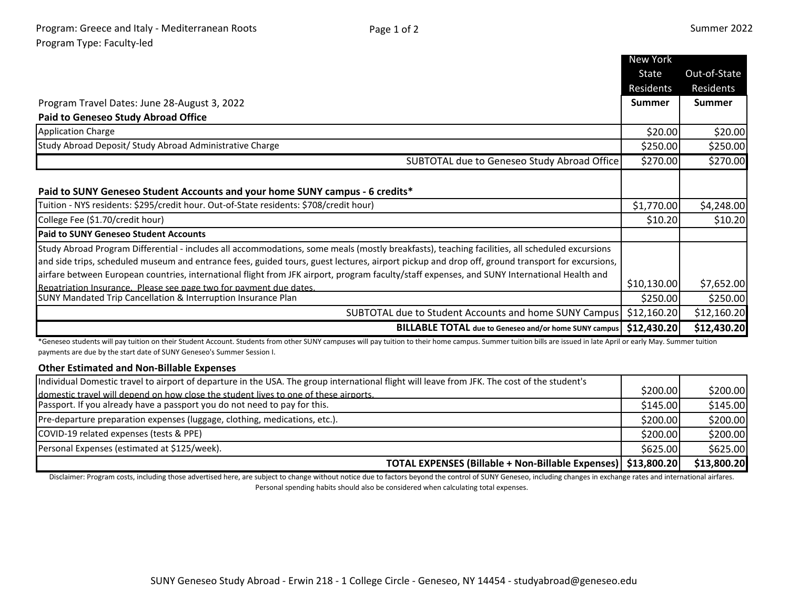|                                                                                                                                                 | New York      |               |
|-------------------------------------------------------------------------------------------------------------------------------------------------|---------------|---------------|
|                                                                                                                                                 | State         | Out-of-State  |
|                                                                                                                                                 | Residents     | Residents     |
| Program Travel Dates: June 28-August 3, 2022                                                                                                    | <b>Summer</b> | <b>Summer</b> |
| <b>Paid to Geneseo Study Abroad Office</b>                                                                                                      |               |               |
| <b>Application Charge</b>                                                                                                                       | \$20.00       | \$20.00       |
| Study Abroad Deposit/ Study Abroad Administrative Charge                                                                                        | \$250.00      | \$250.00      |
| SUBTOTAL due to Geneseo Study Abroad Office                                                                                                     | \$270.00      | \$270.00      |
| Paid to SUNY Geneseo Student Accounts and your home SUNY campus - 6 credits*                                                                    |               |               |
| Tuition - NYS residents: \$295/credit hour. Out-of-State residents: \$708/credit hour)                                                          | \$1,770.00    |               |
|                                                                                                                                                 |               | \$4,248.00    |
| College Fee (\$1.70/credit hour)                                                                                                                | \$10.20       | \$10.20       |
| <b>Paid to SUNY Geneseo Student Accounts</b>                                                                                                    |               |               |
| Study Abroad Program Differential - includes all accommodations, some meals (mostly breakfasts), teaching facilities, all scheduled excursions  |               |               |
| and side trips, scheduled museum and entrance fees, guided tours, guest lectures, airport pickup and drop off, ground transport for excursions, |               |               |
| airfare between European countries, international flight from JFK airport, program faculty/staff expenses, and SUNY International Health and    |               |               |
| Repatriation Insurance. Please see page two for payment due dates.                                                                              | \$10,130.00   | \$7,652.00    |
| SUNY Mandated Trip Cancellation & Interruption Insurance Plan                                                                                   | \$250.00      | \$250.00      |
| SUBTOTAL due to Student Accounts and home SUNY Campus                                                                                           | \$12,160.20   | \$12,160.20   |
| <b>BILLABLE TOTAL</b> due to Geneseo and/or home SUNY campus                                                                                    | \$12,430.20   | \$12,430.20   |

\*Geneseo students will pay tuition on their Student Account. Students from other SUNY campuses will pay tuition to their home campus. Summer tuition bills are issued in late April or early May. Summer tuition payments are due by the start date of SUNY Geneseo's Summer Session I.

## **Other Estimated and Non-Billable Expenses**

| Individual Domestic travel to airport of departure in the USA. The group international flight will leave from JFK. The cost of the student's |          |             |
|----------------------------------------------------------------------------------------------------------------------------------------------|----------|-------------|
| domestic travel will depend on how close the student lives to one of these airports.                                                         | \$200.00 | \$200.00    |
| Passport. If you already have a passport you do not need to pay for this.                                                                    | \$145.00 | \$145.00    |
| Pre-departure preparation expenses (luggage, clothing, medications, etc.).                                                                   | \$200.00 | \$200.00    |
| COVID-19 related expenses (tests & PPE)                                                                                                      | \$200.00 | \$200.00    |
| Personal Expenses (estimated at \$125/week).                                                                                                 | \$625.00 | \$625.00    |
| TOTAL EXPENSES (Billable + Non-Billable Expenses)   \$13,800.20                                                                              |          | \$13,800.20 |

Disclaimer: Program costs, including those advertised here, are subject to change without notice due to factors beyond the control of SUNY Geneseo, including changes in exchange rates and international airfares. Personal spending habits should also be considered when calculating total expenses.